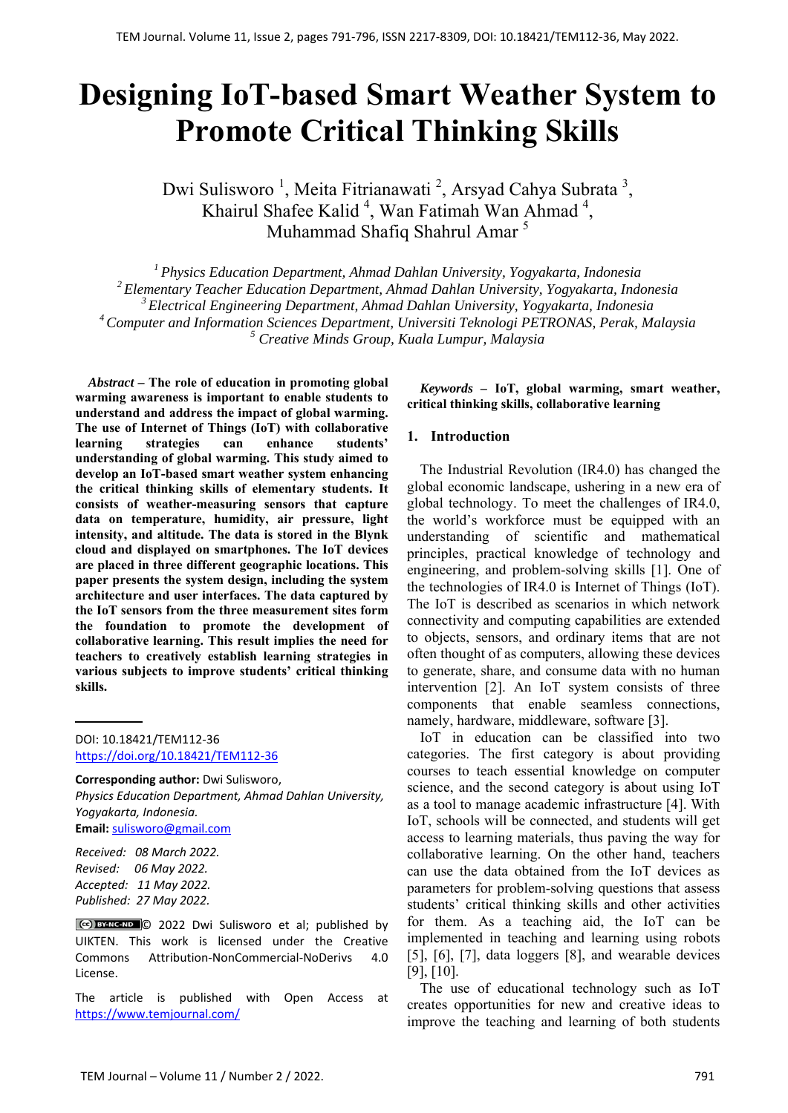# **Designing IoT-based Smart Weather System to Promote Critical Thinking Skills**

Dwi Sulisworo<sup>1</sup>, Meita Fitrianawati<sup>2</sup>, Arsyad Cahya Subrata<sup>3</sup>, Khairul Shafee Kalid<sup>4</sup>, Wan Fatimah Wan Ahmad<sup>4</sup>, Muhammad Shafiq Shahrul Amar 5

*1 Physics Education Department, Ahmad Dahlan University, Yogyakarta, Indonesia 2 Elementary Teacher Education Department, Ahmad Dahlan University, Yogyakarta, Indonesia 3 Electrical Engineering Department, Ahmad Dahlan University, Yogyakarta, Indonesia 4 Computer and Information Sciences Department, Universiti Teknologi PETRONAS, Perak, Malaysia 5 Creative Minds Group, Kuala Lumpur, Malaysia* 

*Abstract –* **The role of education in promoting global warming awareness is important to enable students to understand and address the impact of global warming. The use of Internet of Things (IoT) with collaborative learning strategies can enhance students' understanding of global warming. This study aimed to develop an IoT-based smart weather system enhancing the critical thinking skills of elementary students. It consists of weather-measuring sensors that capture data on temperature, humidity, air pressure, light intensity, and altitude. The data is stored in the Blynk cloud and displayed on smartphones. The IoT devices are placed in three different geographic locations. This paper presents the system design, including the system architecture and user interfaces. The data captured by the IoT sensors from the three measurement sites form the foundation to promote the development of collaborative learning. This result implies the need for teachers to creatively establish learning strategies in various subjects to improve students' critical thinking skills.** 

#### DOI: 10.18421/TEM112-36 [https://doi.org/10.18421/TEM112](https://doi.org/10.18421/TEM112-36)-36

**Corresponding author:** Dwi Sulisworo, *Physics Education Department, Ahmad Dahlan University, Yogyakarta, Indonesia.*  **Email:** sulisworo@gmail.com

*Received: 08 March 2022. Revised: 06 May 2022. Accepted: 11 May 2022. Published: 27 May 2022.* 

© 2022 Dwi Sulisworo et al; published by UIKTEN. This work is licensed under the Creative Commons Attribution‐NonCommercial‐NoDerivs 4.0 License.

The article is published with Open Access at https://www.temjournal.com/

*Keywords –* **IoT, global warming, smart weather, critical thinking skills, collaborative learning** 

## **1. Introduction**

The Industrial Revolution (IR4.0) has changed the global economic landscape, ushering in a new era of global technology. To meet the challenges of IR4.0, the world's workforce must be equipped with an understanding of scientific and mathematical principles, practical knowledge of technology and engineering, and problem-solving skills [1]. One of the technologies of IR4.0 is Internet of Things (IoT). The IoT is described as scenarios in which network connectivity and computing capabilities are extended to objects, sensors, and ordinary items that are not often thought of as computers, allowing these devices to generate, share, and consume data with no human intervention [2]. An IoT system consists of three components that enable seamless connections, namely, hardware, middleware, software [3].

IoT in education can be classified into two categories. The first category is about providing courses to teach essential knowledge on computer science, and the second category is about using IoT as a tool to manage academic infrastructure [4]. With IoT, schools will be connected, and students will get access to learning materials, thus paving the way for collaborative learning. On the other hand, teachers can use the data obtained from the IoT devices as parameters for problem-solving questions that assess students' critical thinking skills and other activities for them. As a teaching aid, the IoT can be implemented in teaching and learning using robots [5], [6], [7], data loggers [8], and wearable devices [9], [10].

The use of educational technology such as IoT creates opportunities for new and creative ideas to improve the teaching and learning of both students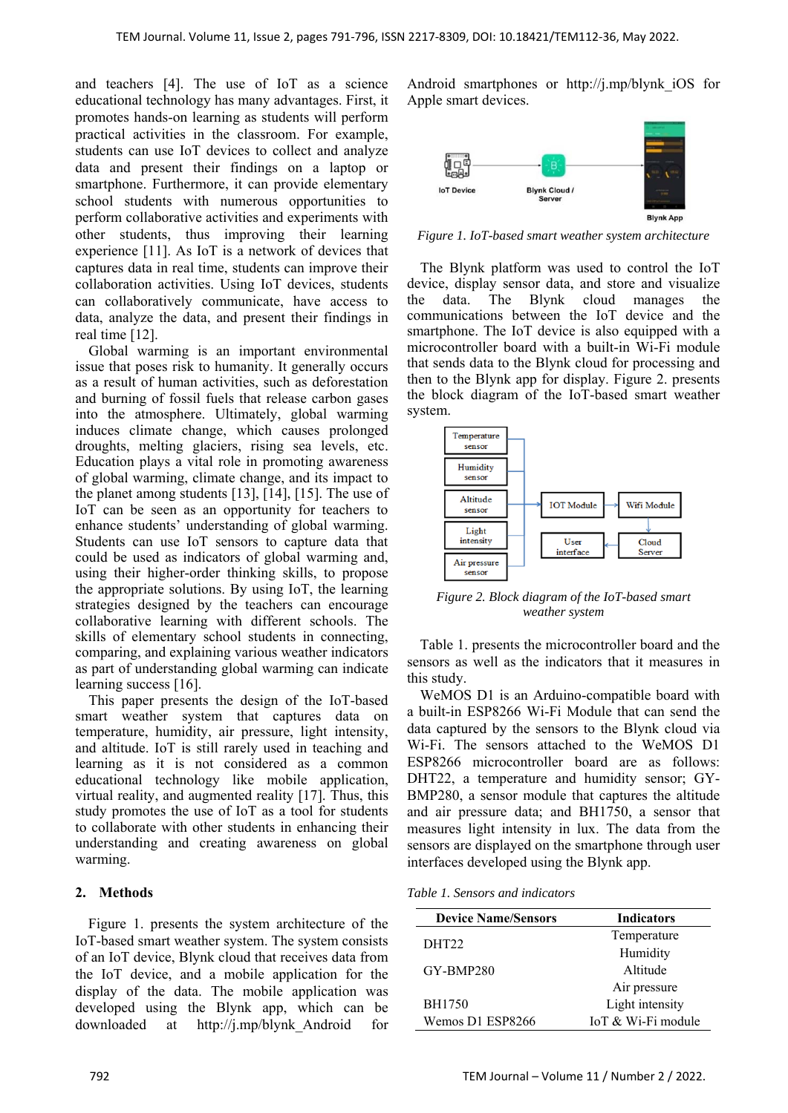and teachers [4]. The use of IoT as a science educational technology has many advantages. First, it promotes hands-on learning as students will perform practical activities in the classroom. For example, students can use IoT devices to collect and analyze data and present their findings on a laptop or smartphone. Furthermore, it can provide elementary school students with numerous opportunities to perform collaborative activities and experiments with other students, thus improving their learning experience [11]. As IoT is a network of devices that captures data in real time, students can improve their collaboration activities. Using IoT devices, students can collaboratively communicate, have access to data, analyze the data, and present their findings in real time [12].

Global warming is an important environmental issue that poses risk to humanity. It generally occurs as a result of human activities, such as deforestation and burning of fossil fuels that release carbon gases into the atmosphere. Ultimately, global warming induces climate change, which causes prolonged droughts, melting glaciers, rising sea levels, etc. Education plays a vital role in promoting awareness of global warming, climate change, and its impact to the planet among students [13], [14], [15]. The use of IoT can be seen as an opportunity for teachers to enhance students' understanding of global warming. Students can use IoT sensors to capture data that could be used as indicators of global warming and, using their higher-order thinking skills, to propose the appropriate solutions. By using IoT, the learning strategies designed by the teachers can encourage collaborative learning with different schools. The skills of elementary school students in connecting, comparing, and explaining various weather indicators as part of understanding global warming can indicate learning success [16].

This paper presents the design of the IoT-based smart weather system that captures data on temperature, humidity, air pressure, light intensity, and altitude. IoT is still rarely used in teaching and learning as it is not considered as a common educational technology like mobile application, virtual reality, and augmented reality [17]. Thus, this study promotes the use of IoT as a tool for students to collaborate with other students in enhancing their understanding and creating awareness on global warming.

## **2. Methods**

Figure 1. presents the system architecture of the IoT-based smart weather system. The system consists of an IoT device, Blynk cloud that receives data from the IoT device, and a mobile application for the display of the data. The mobile application was developed using the Blynk app, which can be downloaded at http://j.mp/blynk\_Android for

Android smartphones or http://j.mp/blynk\_iOS for Apple smart devices.



*Figure 1. IoT-based smart weather system architecture* 

The Blynk platform was used to control the IoT device, display sensor data, and store and visualize the data. The Blynk cloud manages the communications between the IoT device and the smartphone. The IoT device is also equipped with a microcontroller board with a built-in Wi-Fi module that sends data to the Blynk cloud for processing and then to the Blynk app for display. Figure 2. presents the block diagram of the IoT-based smart weather system.



*Figure 2. Block diagram of the IoT-based smart weather system* 

Table 1. presents the microcontroller board and the sensors as well as the indicators that it measures in this study.

WeMOS D1 is an Arduino-compatible board with a built-in ESP8266 Wi-Fi Module that can send the data captured by the sensors to the Blynk cloud via Wi-Fi. The sensors attached to the WeMOS D1 ESP8266 microcontroller board are as follows: DHT22, a temperature and humidity sensor; GY-BMP280, a sensor module that captures the altitude and air pressure data; and BH1750, a sensor that measures light intensity in lux. The data from the sensors are displayed on the smartphone through user interfaces developed using the Blynk app.

|  | Table 1. Sensors and indicators |  |
|--|---------------------------------|--|
|--|---------------------------------|--|

| <b>Device Name/Sensors</b> | <b>Indicators</b>  |
|----------------------------|--------------------|
| DHT <sub>22</sub>          | Temperature        |
|                            | Humidity           |
| GY-BMP280                  | Altitude           |
|                            | Air pressure       |
| <b>BH1750</b>              | Light intensity    |
| Wemos D1 ESP8266           | IoT & Wi-Fi module |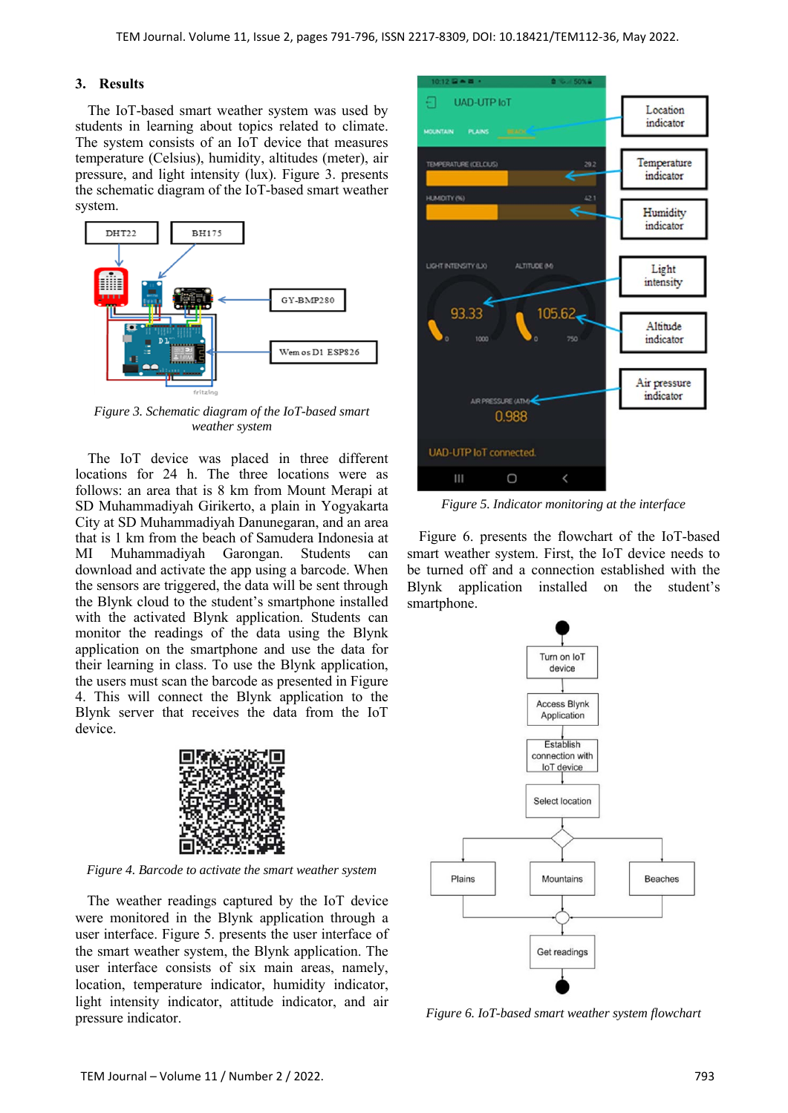## **3. Results**

The IoT-based smart weather system was used by students in learning about topics related to climate. The system consists of an IoT device that measures temperature (Celsius), humidity, altitudes (meter), air pressure, and light intensity (lux). Figure 3. presents the schematic diagram of the IoT-based smart weather system.



*Figure 3. Schematic diagram of the IoT-based smart weather system* 

The IoT device was placed in three different locations for 24 h. The three locations were as follows: an area that is 8 km from Mount Merapi at SD Muhammadiyah Girikerto, a plain in Yogyakarta City at SD Muhammadiyah Danunegaran, and an area that is 1 km from the beach of Samudera Indonesia at MI Muhammadiyah Garongan. Students can download and activate the app using a barcode. When the sensors are triggered, the data will be sent through the Blynk cloud to the student's smartphone installed with the activated Blynk application. Students can monitor the readings of the data using the Blynk application on the smartphone and use the data for their learning in class. To use the Blynk application, the users must scan the barcode as presented in Figure 4. This will connect the Blynk application to the Blynk server that receives the data from the IoT device.



*Figure 4. Barcode to activate the smart weather system* 

The weather readings captured by the IoT device were monitored in the Blynk application through a user interface. Figure 5. presents the user interface of the smart weather system, the Blynk application. The user interface consists of six main areas, namely, location, temperature indicator, humidity indicator, light intensity indicator, attitude indicator, and air pressure indicator.



*Figure 5. Indicator monitoring at the interface* 

Figure 6. presents the flowchart of the IoT-based smart weather system. First, the IoT device needs to be turned off and a connection established with the Blynk application installed on the student's smartphone.



*Figure 6. IoT-based smart weather system flowchart*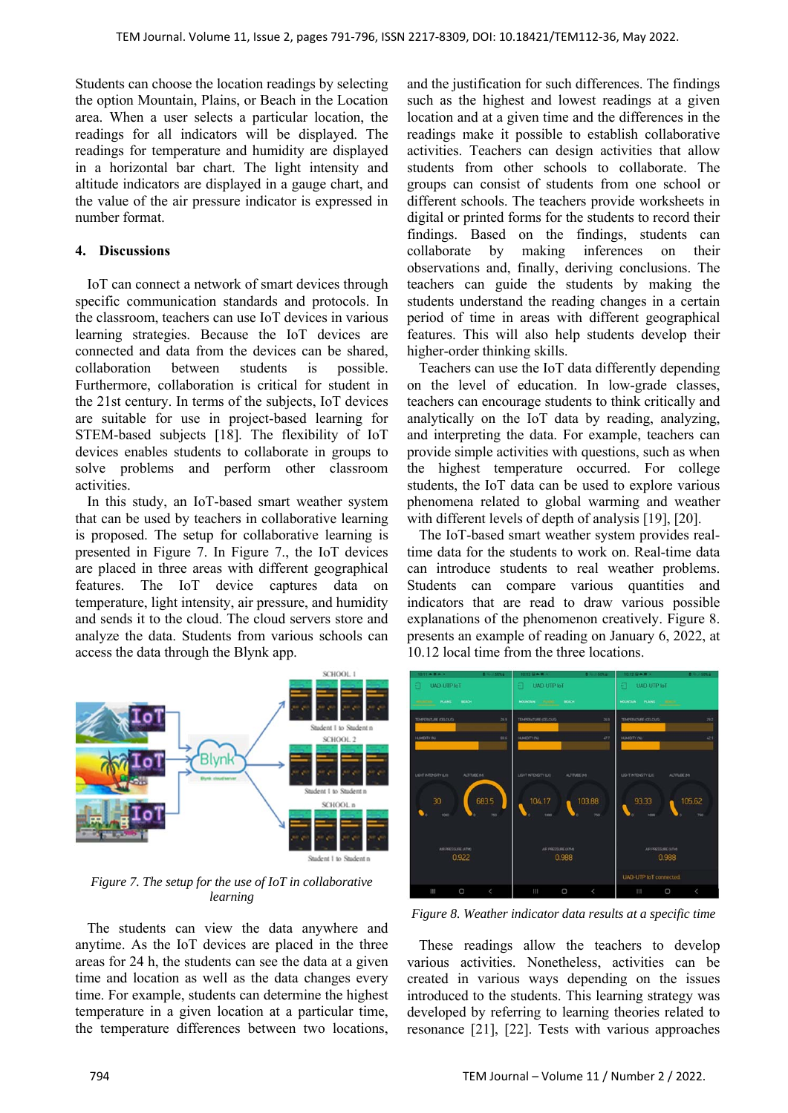Students can choose the location readings by selecting the option Mountain, Plains, or Beach in the Location area. When a user selects a particular location, the readings for all indicators will be displayed. The readings for temperature and humidity are displayed in a horizontal bar chart. The light intensity and altitude indicators are displayed in a gauge chart, and the value of the air pressure indicator is expressed in number format.

#### **4. Discussions**

IoT can connect a network of smart devices through specific communication standards and protocols. In the classroom, teachers can use IoT devices in various learning strategies. Because the IoT devices are connected and data from the devices can be shared, collaboration between students is possible. Furthermore, collaboration is critical for student in the 21st century. In terms of the subjects, IoT devices are suitable for use in project-based learning for STEM-based subjects [18]. The flexibility of IoT devices enables students to collaborate in groups to solve problems and perform other classroom activities.

In this study, an IoT-based smart weather system that can be used by teachers in collaborative learning is proposed. The setup for collaborative learning is presented in Figure 7. In Figure 7., the IoT devices are placed in three areas with different geographical features. The IoT device captures data on temperature, light intensity, air pressure, and humidity and sends it to the cloud. The cloud servers store and analyze the data. Students from various schools can access the data through the Blynk app.



*Figure 7. The setup for the use of IoT in collaborative learning* 

The students can view the data anywhere and anytime. As the IoT devices are placed in the three areas for 24 h, the students can see the data at a given time and location as well as the data changes every time. For example, students can determine the highest temperature in a given location at a particular time, the temperature differences between two locations,

and the justification for such differences. The findings such as the highest and lowest readings at a given location and at a given time and the differences in the readings make it possible to establish collaborative activities. Teachers can design activities that allow students from other schools to collaborate. The groups can consist of students from one school or different schools. The teachers provide worksheets in digital or printed forms for the students to record their findings. Based on the findings, students can collaborate by making inferences on their observations and, finally, deriving conclusions. The teachers can guide the students by making the students understand the reading changes in a certain period of time in areas with different geographical features. This will also help students develop their higher-order thinking skills.

Teachers can use the IoT data differently depending on the level of education. In low-grade classes, teachers can encourage students to think critically and analytically on the IoT data by reading, analyzing, and interpreting the data. For example, teachers can provide simple activities with questions, such as when the highest temperature occurred. For college students, the IoT data can be used to explore various phenomena related to global warming and weather with different levels of depth of analysis [19], [20].

The IoT-based smart weather system provides realtime data for the students to work on. Real-time data can introduce students to real weather problems. Students can compare various quantities and indicators that are read to draw various possible explanations of the phenomenon creatively. Figure 8. presents an example of reading on January 6, 2022, at 10.12 local time from the three locations.



*Figure 8. Weather indicator data results at a specific time* 

These readings allow the teachers to develop various activities. Nonetheless, activities can be created in various ways depending on the issues introduced to the students. This learning strategy was developed by referring to learning theories related to resonance [21], [22]. Tests with various approaches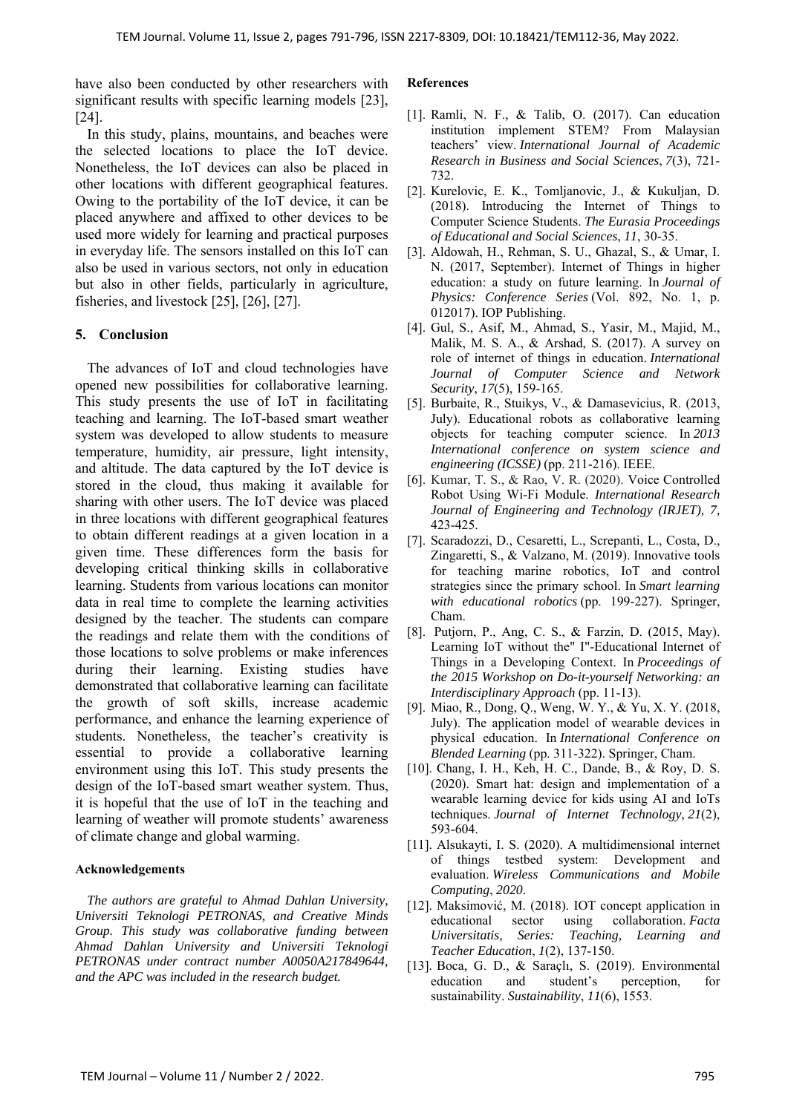have also been conducted by other researchers with significant results with specific learning models [23], [24].

In this study, plains, mountains, and beaches were the selected locations to place the IoT device. Nonetheless, the IoT devices can also be placed in other locations with different geographical features. Owing to the portability of the IoT device, it can be placed anywhere and affixed to other devices to be used more widely for learning and practical purposes in everyday life. The sensors installed on this IoT can also be used in various sectors, not only in education but also in other fields, particularly in agriculture, fisheries, and livestock [25], [26], [27].

## **5. Conclusion**

The advances of IoT and cloud technologies have opened new possibilities for collaborative learning. This study presents the use of IoT in facilitating teaching and learning. The IoT-based smart weather system was developed to allow students to measure temperature, humidity, air pressure, light intensity, and altitude. The data captured by the IoT device is stored in the cloud, thus making it available for sharing with other users. The IoT device was placed in three locations with different geographical features to obtain different readings at a given location in a given time. These differences form the basis for developing critical thinking skills in collaborative learning. Students from various locations can monitor data in real time to complete the learning activities designed by the teacher. The students can compare the readings and relate them with the conditions of those locations to solve problems or make inferences during their learning. Existing studies have demonstrated that collaborative learning can facilitate the growth of soft skills, increase academic performance, and enhance the learning experience of students. Nonetheless, the teacher's creativity is essential to provide a collaborative learning environment using this IoT. This study presents the design of the IoT-based smart weather system. Thus, it is hopeful that the use of IoT in the teaching and learning of weather will promote students' awareness of climate change and global warming.

## **Acknowledgements**

*The authors are grateful to Ahmad Dahlan University, Universiti Teknologi PETRONAS, and Creative Minds Group. This study was collaborative funding between Ahmad Dahlan University and Universiti Teknologi PETRONAS under contract number A0050A217849644, and the APC was included in the research budget.* 

#### **References**

- [1]. Ramli, N. F., & Talib, O. (2017). Can education institution implement STEM? From Malaysian teachers' view. *International Journal of Academic Research in Business and Social Sciences*, *7*(3), 721- 732.
- [2]. Kurelovic, E. K., Tomljanovic, J., & Kukuljan, D. (2018). Introducing the Internet of Things to Computer Science Students. *The Eurasia Proceedings of Educational and Social Sciences*, *11*, 30-35.
- [3]. Aldowah, H., Rehman, S. U., Ghazal, S., & Umar, I. N. (2017, September). Internet of Things in higher education: a study on future learning. In *Journal of Physics: Conference Series* (Vol. 892, No. 1, p. 012017). IOP Publishing.
- [4]. Gul, S., Asif, M., Ahmad, S., Yasir, M., Majid, M., Malik, M. S. A., & Arshad, S. (2017). A survey on role of internet of things in education. *International Journal of Computer Science and Network Security*, *17*(5), 159-165.
- [5]. Burbaite, R., Stuikys, V., & Damasevicius, R. (2013, July). Educational robots as collaborative learning objects for teaching computer science. In *2013 International conference on system science and engineering (ICSSE)* (pp. 211-216). IEEE.
- [6]. Kumar, T. S., & Rao, V. R. (2020). Voice Controlled Robot Using Wi-Fi Module. *International Research Journal of Engineering and Technology (IRJET), 7,* 423-425.
- [7]. Scaradozzi, D., Cesaretti, L., Screpanti, L., Costa, D., Zingaretti, S., & Valzano, M. (2019). Innovative tools for teaching marine robotics, IoT and control strategies since the primary school. In *Smart learning with educational robotics* (pp. 199-227). Springer, Cham.
- [8]. Putjorn, P., Ang, C. S., & Farzin, D. (2015, May). Learning IoT without the" I"-Educational Internet of Things in a Developing Context. In *Proceedings of the 2015 Workshop on Do-it-yourself Networking: an Interdisciplinary Approach* (pp. 11-13).
- [9]. Miao, R., Dong, Q., Weng, W. Y., & Yu, X. Y. (2018, July). The application model of wearable devices in physical education. In *International Conference on Blended Learning* (pp. 311-322). Springer, Cham.
- [10]. Chang, I. H., Keh, H. C., Dande, B., & Roy, D. S. (2020). Smart hat: design and implementation of a wearable learning device for kids using AI and IoTs techniques. *Journal of Internet Technology*, *21*(2), 593-604.
- [11]. Alsukayti, I. S. (2020). A multidimensional internet of things testbed system: Development and evaluation. *Wireless Communications and Mobile Computing*, *2020*.
- [12]. Maksimović, M. (2018). IOT concept application in educational sector using collaboration. *Facta Universitatis, Series: Teaching, Learning and Teacher Education*, *1*(2), 137-150.
- [13]. Boca, G. D., & Saraçlı, S. (2019). Environmental education and student's perception, for sustainability. *Sustainability*, *11*(6), 1553.